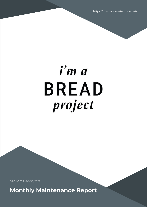https://normanconstruction.net/

# i'm a **BREAD** project

04/01/2022 - 04/30/2022

**Monthly Maintenance Report**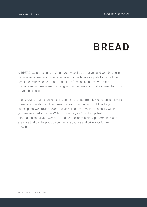## **BREAD**

At BREAD, we protect and maintain your website so that you and your business can win. As a business owner, you have too much on your plate to waste time concerned with whether-or-not your site is functioning properly. Time is precious and our maintenance can give you the peace of mind you need to focus on your business.

The following maintenance report contains the data from key categories relevant to website operation and performance. With your current PLUS Package subscription, we provide several services in order to maintain stability within your website performance. Within this report, you'll find simplified information about your website's updates, security, history, performance, and analytics that can help you discern where you are and drive your future growth.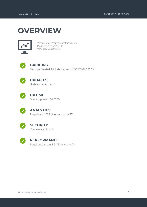### **OVERVIEW**



Website: https://normanconstruction.net/ IP Address: 172.67.212.111 WordPress Version: 5.9.2



### **BACKUPS**

Backups created: 92; Latest one on: 05/02/2022 21:37



### **UPDATES**

Updates performed: 1



### **UPTIME**

Overall uptime: 100.000%



### **ANALYTICS**

Pageviews: 1032; Site sessions: 487



### **SECURITY**

Your website is safe



### **PERFORMANCE**

PageSpeed score: 86; YSlow score: 74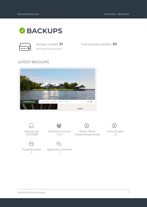Active Plugins 15

i.



*04/01/2022 to 04/30/2022*

Backups created: **31** Total backups available: **92**

Active Theme Creative Bread Studio

i.

### LATEST BACKUPS





WordPress version 5.9.2



Approved comments 1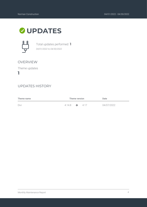



Total updates performed: **1** *04/01/2022 to 04/30/2022*

### OVERVIEW

Theme updates

**1**

### UPDATES HISTORY

| Theme name | Theme version        |  |      | Date       |
|------------|----------------------|--|------|------------|
| Divi       | $4.14.8 \rightarrow$ |  | 4.17 | 04/07/2022 |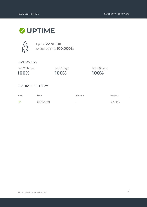### **UPTIME**



Up for: **227d 19h** Overall Uptime: **100.000%**

### OVERVIEW

last 24 hours

**100%**

**100%** last 7 days last 30 days

**100%**

### UPTIME HISTORY

| Event | Date       | Reason                   | <b>Duration</b> |
|-------|------------|--------------------------|-----------------|
| UP    | 09/15/2021 | $\overline{\phantom{a}}$ | 227d 19h        |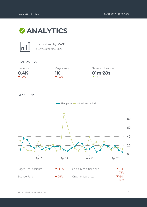



Traffic down by: **24%** *04/01/2022 to 04/30/2022*

#### OVERVIEW



**1K** Pageviews  $\blacktriangledown$  -33%

**01m:28s** Session duration

 $\triangle$  3%

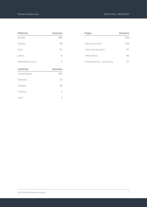| <b>Referrers</b>     | <b>Sessions</b> |
|----------------------|-----------------|
| google               | 330             |
| (direct)             | 99              |
| bing                 | 22              |
| yahoo                | 6               |
| thebluebook.com      | 5               |
|                      |                 |
| <b>Countries</b>     | <b>Sessions</b> |
| <b>United States</b> | 390             |
| Pakistan             | 23              |
| Canada               | 20              |
| Czechia              | 5               |

| Pages                     | Sessions |
|---------------------------|----------|
|                           | 533      |
| /about-norman/            | 239      |
| /new-construction/        | 91       |
| /renovation/              | 86       |
| /thank-you-for-contacting |          |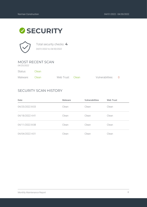### **SECURITY**



Total security checks: **4** *04/01/2022 to 04/30/2022*

### MOST RECENT SCAN

*04/25/2022*

| Status:        | - Clean |                  |                    |  |
|----------------|---------|------------------|--------------------|--|
| Malware: Clean |         | Web Trust: Clean | Vulnerabilities: 0 |  |

### SECURITY SCAN HISTORY

| Date            | Malware | <b>Vulnerabilities</b> | <b>Web Trust</b> |
|-----------------|---------|------------------------|------------------|
| 04/25/2022 8:03 | Clean   | Clean                  | Clean            |
| 04/18/2022 4:41 | Clean   | Clean                  | Clean            |
| 04/11/2022 8:08 | Clean   | Clean                  | Clean            |
| 04/04/2022 4:01 | Clean   | Clean                  | Clean            |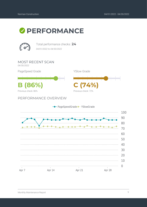



Total performance checks: **24** *04/01/2022 to 04/30/2022*

MOST RECENT SCAN

*04/30/2022*

PageSpeed Grade



#### PERFORMANCE OVERVIEW



YSlow Grade

Previous check: 72%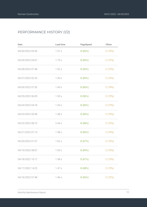### PERFORMANCE HISTORY (1/2)

| Date             | Load time | PageSpeed | YSlow  |
|------------------|-----------|-----------|--------|
| 04/30/2022 05:36 | 1.57s     | B (86%)   | C(74%) |
| 04/29/2022 04:07 | 1.73s     | B (86%)   | C(72%) |
| 04/28/2022 07:48 | 1.52s     | B (86%)   | C(73%) |
| 04/27/2022 02:33 | 1.30s     | B (89%)   | C(73%) |
| 04/26/2022 07:30 | 1.45s     | B (86%)   | C(74%) |
| 04/25/2022 06:09 | 1.55s     | B (86%)   | C(73%) |
| 04/24/2022 04:18 | 1.43s     | B (86%)   | C(73%) |
| 04/23/2022 00:48 | 1.38s     | B (86%)   | C(75%) |
| 04/22/2022 08:10 | 2.44s     | B (88%)   | C(73%) |
| 04/21/2022 07:14 | 1.58s     | B (86%)   | C(74%) |
| 04/20/2022 01:37 | 1.62s     | B (87%)   | C(73%) |
| 04/19/2022 08:07 | 1.53s     | B (89%)   | C(73%) |
| 04/18/2022 10:17 | 1.58s     | B (87%)   | C(73%) |
| 04/17/2022 14:25 | 1.47s     | B (88%)   | C(73%) |
| 04/16/2022 07:48 | 1.46s     | B (86%)   | C(72%) |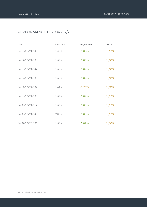### PERFORMANCE HISTORY (2/2)

| Date             | Load time | PageSpeed | YSlow  |
|------------------|-----------|-----------|--------|
| 04/15/2022 07:43 | 1.49s     | B (86%)   | C(73%) |
| 04/14/2022 07:33 | 1.52s     | B (86%)   | C(74%) |
| 04/13/2022 07:47 | 1.57s     | B (87%)   | C(74%) |
| 04/12/2022 08:00 | 1.53s     | B (87%)   | C(74%) |
| 04/11/2022 06:02 | 1.64s     | C(75%)    | C(71%) |
| 04/10/2022 03:30 | 1.52s     | B (87%)   | C(73%) |
| 04/09/2022 08:17 | 1.58s     | B (89%)   | C(73%) |
| 04/08/2022 07:43 | 2.06s     | B (88%)   | C(73%) |
| 04/07/2022 16:01 | 1.50s     | B (81%)   | C(72%) |